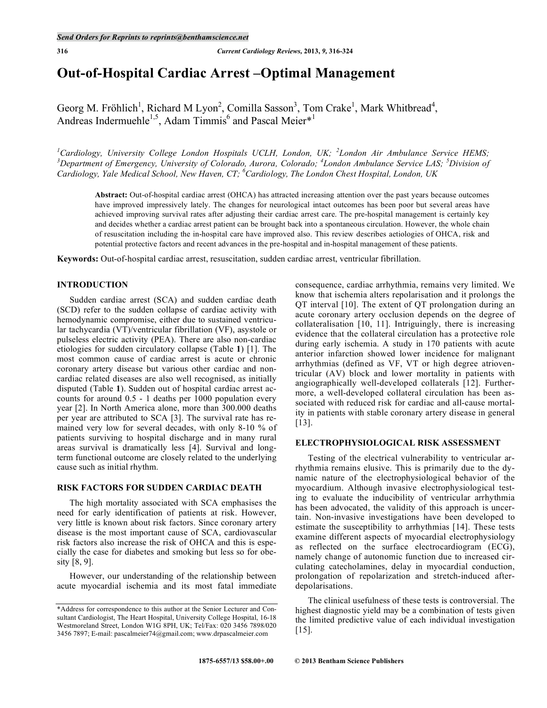# **Out-of-Hospital Cardiac Arrest –Optimal Management**

Georg M. Fröhlich<sup>1</sup>, Richard M Lyon<sup>2</sup>, Comilla Sasson<sup>3</sup>, Tom Crake<sup>1</sup>, Mark Whitbread<sup>4</sup>, Andreas Indermuehle<sup>1,5</sup>, Adam Timmis<sup>6</sup> and Pascal Meier<sup>\*1</sup>

<sup>1</sup>Cardiology, University College London Hospitals UCLH, London, UK; <sup>2</sup>London Air Ambulance Service HEMS;<br><sup>3</sup> Denewtwert of Emergency University of Colorado, Ayuang Colorado, <sup>4</sup>London Ambulance Service LAS, <sup>5</sup> Division *Department of Emergency, University of Colorado, Aurora, Colorado; <sup>4</sup> London Ambulance Service LAS; <sup>5</sup> Division of Cardiology, Yale Medical School, New Haven, CT; 6 Cardiology, The London Chest Hospital, London, UK*

**Abstract:** Out-of-hospital cardiac arrest (OHCA) has attracted increasing attention over the past years because outcomes have improved impressively lately. The changes for neurological intact outcomes has been poor but several areas have achieved improving survival rates after adjusting their cardiac arrest care. The pre-hospital management is certainly key and decides whether a cardiac arrest patient can be brought back into a spontaneous circulation. However, the whole chain of resuscitation including the in-hospital care have improved also. This review describes aetiologies of OHCA, risk and potential protective factors and recent advances in the pre-hospital and in-hospital management of these patients.

**Keywords:** Out-of-hospital cardiac arrest, resuscitation, sudden cardiac arrest, ventricular fibrillation.

# **INTRODUCTION**

Sudden cardiac arrest (SCA) and sudden cardiac death (SCD) refer to the sudden collapse of cardiac activity with hemodynamic compromise, either due to sustained ventricular tachycardia (VT)/ventricular fibrillation (VF), asystole or pulseless electric activity (PEA). There are also non-cardiac etiologies for sudden circulatory collapse (Table **1**) [1]. The most common cause of cardiac arrest is acute or chronic coronary artery disease but various other cardiac and noncardiac related diseases are also well recognised, as initially disputed (Table **1**). Sudden out of hospital cardiac arrest accounts for around 0.5 - 1 deaths per 1000 population every year [2]. In North America alone, more than 300.000 deaths per year are attributed to SCA [3]. The survival rate has remained very low for several decades, with only 8-10 % of patients surviving to hospital discharge and in many rural areas survival is dramatically less [4]. Survival and longterm functional outcome are closely related to the underlying cause such as initial rhythm.

# **RISK FACTORS FOR SUDDEN CARDIAC DEATH**

The high mortality associated with SCA emphasises the need for early identification of patients at risk. However, very little is known about risk factors. Since coronary artery disease is the most important cause of SCA, cardiovascular risk factors also increase the risk of OHCA and this is especially the case for diabetes and smoking but less so for obesity [8, 9].

However, our understanding of the relationship between acute myocardial ischemia and its most fatal immediate consequence, cardiac arrhythmia, remains very limited. We know that ischemia alters repolarisation and it prolongs the QT interval [10]. The extent of QT prolongation during an acute coronary artery occlusion depends on the degree of collateralisation [10, 11]. Intriguingly, there is increasing evidence that the collateral circulation has a protective role during early ischemia. A study in 170 patients with acute anterior infarction showed lower incidence for malignant arrhythmias (defined as VF, VT or high degree atrioventricular (AV) block and lower mortality in patients with angiographically well-developed collaterals [12]. Furthermore, a well-developed collateral circulation has been associated with reduced risk for cardiac and all-cause mortality in patients with stable coronary artery disease in general [13].

# **ELECTROPHYSIOLOGICAL RISK ASSESSMENT**

Testing of the electrical vulnerability to ventricular arrhythmia remains elusive. This is primarily due to the dynamic nature of the electrophysiological behavior of the myocardium. Although invasive electrophysiological testing to evaluate the inducibility of ventricular arrhythmia has been advocated, the validity of this approach is uncertain. Non-invasive investigations have been developed to estimate the susceptibility to arrhythmias [14]. These tests examine different aspects of myocardial electrophysiology as reflected on the surface electrocardiogram (ECG), namely change of autonomic function due to increased circulating catecholamines, delay in myocardial conduction, prolongation of repolarization and stretch-induced afterdepolarisations.

The clinical usefulness of these tests is controversial. The highest diagnostic yield may be a combination of tests given the limited predictive value of each individual investigation [15].

<sup>\*</sup>Address for correspondence to this author at the Senior Lecturer and Consultant Cardiologist, The Heart Hospital, University College Hospital, 16-18 Westmoreland Street, London W1G 8PH, UK; Tel/Fax: 020 3456 7898/020 3456 7897; E-mail: pascalmeier74@gmail.com; www.drpascalmeier.com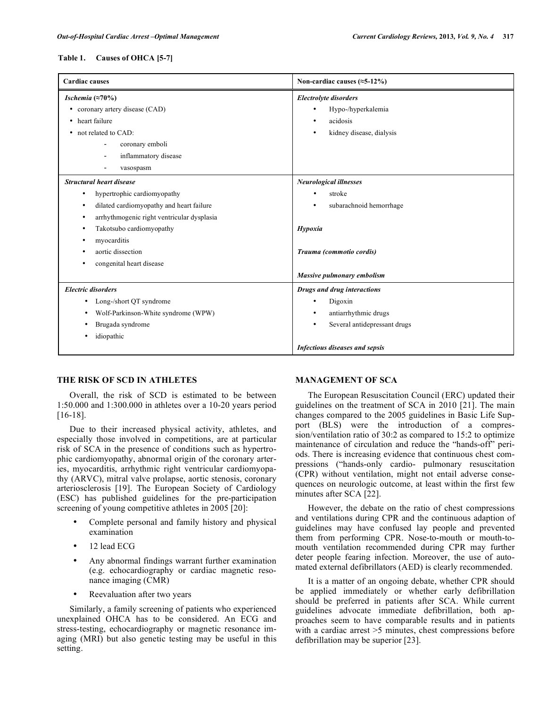## **Table 1. Causes of OHCA [5-7]**

| <b>Cardiac causes</b>                                   | Non-cardiac causes $(\approx 5-12\%)$ |
|---------------------------------------------------------|---------------------------------------|
| Ischemia $(\approx 70\%)$                               | <b>Electrolyte disorders</b>          |
| coronary artery disease (CAD)<br>٠                      | Hypo-/hyperkalemia<br>$\bullet$       |
| • heart failure                                         | acidosis<br>٠                         |
| not related to CAD:<br>٠                                | kidney disease, dialysis<br>٠         |
| coronary emboli<br>$\overline{\phantom{0}}$             |                                       |
| inflammatory disease<br>$\overline{\phantom{a}}$        |                                       |
| vasospasm                                               |                                       |
| <b>Structural heart disease</b>                         | <b>Neurological illnesses</b>         |
| hypertrophic cardiomyopathy<br>٠                        | stroke<br>$\bullet$                   |
| dilated cardiomyopathy and heart failure<br>٠           | subarachnoid hemorrhage<br>٠          |
| arrhythmogenic right ventricular dysplasia<br>$\bullet$ |                                       |
| Takotsubo cardiomyopathy<br>$\bullet$                   | Hypoxia                               |
| myocarditis<br>٠                                        |                                       |
| aortic dissection                                       | Trauma (commotio cordis)              |
| congenital heart disease<br>$\bullet$                   |                                       |
|                                                         | Massive pulmonary embolism            |
| <b>Electric disorders</b>                               | Drugs and drug interactions           |
| Long-/short QT syndrome<br>٠                            | Digoxin<br>$\bullet$                  |
| Wolf-Parkinson-White syndrome (WPW)<br>٠                | antiarrhythmic drugs<br>٠             |
| Brugada syndrome                                        | Several antidepressant drugs<br>٠     |
| idiopathic<br>٠                                         |                                       |
|                                                         | <b>Infectious diseases and sepsis</b> |

## **THE RISK OF SCD IN ATHLETES**

Overall, the risk of SCD is estimated to be between 1:50.000 and 1:300.000 in athletes over a 10-20 years period [16-18].

Due to their increased physical activity, athletes, and especially those involved in competitions, are at particular risk of SCA in the presence of conditions such as hypertrophic cardiomyopathy, abnormal origin of the coronary arteries, myocarditis, arrhythmic right ventricular cardiomyopathy (ARVC), mitral valve prolapse, aortic stenosis, coronary arteriosclerosis [19]. The European Society of Cardiology (ESC) has published guidelines for the pre-participation screening of young competitive athletes in 2005 [20]:

- Complete personal and family history and physical examination
- 12 lead ECG
- Any abnormal findings warrant further examination (e.g. echocardiography or cardiac magnetic resonance imaging (CMR)
- Reevaluation after two years

Similarly, a family screening of patients who experienced unexplained OHCA has to be considered. An ECG and stress-testing, echocardiography or magnetic resonance imaging (MRI) but also genetic testing may be useful in this setting.

## **MANAGEMENT OF SCA**

The European Resuscitation Council (ERC) updated their guidelines on the treatment of SCA in 2010 [21]. The main changes compared to the 2005 guidelines in Basic Life Support (BLS) were the introduction of a compression/ventilation ratio of 30:2 as compared to 15:2 to optimize maintenance of circulation and reduce the "hands-off" periods. There is increasing evidence that continuous chest compressions ("hands-only cardio- pulmonary resuscitation (CPR) without ventilation, might not entail adverse consequences on neurologic outcome, at least within the first few minutes after SCA [22].

However, the debate on the ratio of chest compressions and ventilations during CPR and the continuous adaption of guidelines may have confused lay people and prevented them from performing CPR. Nose-to-mouth or mouth-tomouth ventilation recommended during CPR may further deter people fearing infection. Moreover, the use of automated external defibrillators (AED) is clearly recommended.

It is a matter of an ongoing debate, whether CPR should be applied immediately or whether early defibrillation should be preferred in patients after SCA. While current guidelines advocate immediate defibrillation, both approaches seem to have comparable results and in patients with a cardiac arrest >5 minutes, chest compressions before defibrillation may be superior [23].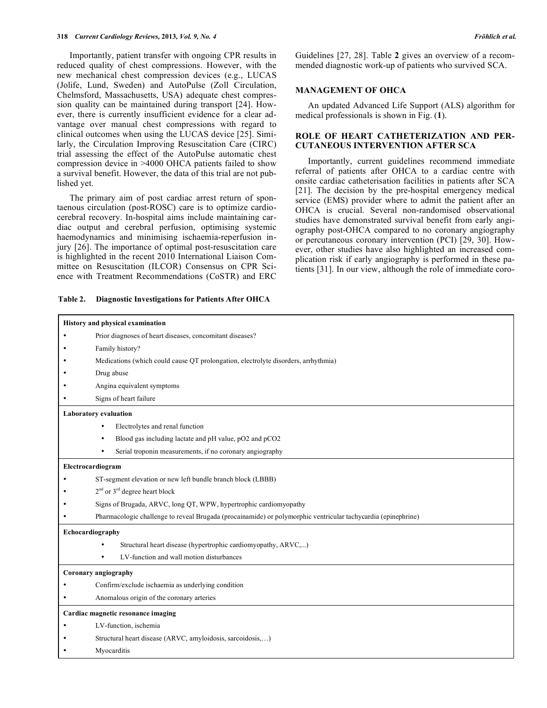Importantly, patient transfer with ongoing CPR results in reduced quality of chest compressions. However, with the new mechanical chest compression devices (e.g., LUCAS (Jolife, Lund, Sweden) and AutoPulse (Zoll Circulation, Chelmsford, Massachusetts, USA) adequate chest compression quality can be maintained during transport [24]. However, there is currently insufficient evidence for a clear advantage over manual chest compressions with regard to clinical outcomes when using the LUCAS device [25]. Similarly, the Circulation Improving Resuscitation Care (CIRC) trial assessing the effect of the AutoPulse automatic chest compression device in >4000 OHCA patients failed to show a survival benefit. However, the data of this trial are not published yet.

The primary aim of post cardiac arrest return of spontaenous circulation (post-ROSC) care is to optimize cardiocerebral recovery. In-hospital aims include maintaining cardiac output and cerebral perfusion, optimising systemic haemodynamics and minimising ischaemia-reperfusion injury [26]. The importance of optimal post-resuscitation care is highlighted in the recent 2010 International Liaison Committee on Resuscitation (ILCOR) Consensus on CPR Science with Treatment Recommendations (CoSTR) and ERC

**Table 2. Diagnostic Investigations for Patients After OHCA**

Guidelines [27, 28]. Table **2** gives an overview of a recommended diagnostic work-up of patients who survived SCA.

## **MANAGEMENT OF OHCA**

An updated Advanced Life Support (ALS) algorithm for medical professionals is shown in Fig. (**1**).

## **ROLE OF HEART CATHETERIZATION AND PER-CUTANEOUS INTERVENTION AFTER SCA**

Importantly, current guidelines recommend immediate referral of patients after OHCA to a cardiac centre with onsite cardiac catheterisation facilities in patients after SCA [21]. The decision by the pre-hospital emergency medical service (EMS) provider where to admit the patient after an OHCA is crucial. Several non-randomised observational studies have demonstrated survival benefit from early angiography post-OHCA compared to no coronary angiography or percutaneous coronary intervention (PCI) [29, 30]. However, other studies have also highlighted an increased complication risk if early angiography is performed in these patients [31]. In our view, although the role of immediate coro-

|                              | History and physical examination                                                                              |  |  |  |
|------------------------------|---------------------------------------------------------------------------------------------------------------|--|--|--|
| $\bullet$                    | Prior diagnoses of heart diseases, concomitant diseases?                                                      |  |  |  |
|                              | Family history?                                                                                               |  |  |  |
|                              | Medications (which could cause QT prolongation, electrolyte disorders, arrhythmia)                            |  |  |  |
|                              | Drug abuse                                                                                                    |  |  |  |
|                              | Angina equivalent symptoms                                                                                    |  |  |  |
|                              | Signs of heart failure                                                                                        |  |  |  |
| <b>Laboratory</b> evaluation |                                                                                                               |  |  |  |
|                              | Electrolytes and renal function<br>$\bullet$                                                                  |  |  |  |
|                              | Blood gas including lactate and pH value, pO2 and pCO2<br>$\bullet$                                           |  |  |  |
|                              | Serial troponin measurements, if no coronary angiography<br>$\bullet$                                         |  |  |  |
| Electrocardiogram            |                                                                                                               |  |  |  |
|                              | ST-segment elevation or new left bundle branch block (LBBB)                                                   |  |  |  |
|                              | $2nd$ or $3rd$ degree heart block                                                                             |  |  |  |
|                              | Signs of Brugada, ARVC, long QT, WPW, hypertrophic cardiomyopathy                                             |  |  |  |
|                              | Pharmacologic challenge to reveal Brugada (procainamide) or polymorphic ventricular tachycardia (epinephrine) |  |  |  |
| Echocardiography             |                                                                                                               |  |  |  |
|                              | Structural heart disease (hypertrophic cardiomyopathy, ARVC,)                                                 |  |  |  |
|                              | LV-function and wall motion disturbances                                                                      |  |  |  |
| Coronary angiography         |                                                                                                               |  |  |  |
|                              | Confirm/exclude ischaemia as underlying condition                                                             |  |  |  |
|                              | Anomalous origin of the coronary arteries                                                                     |  |  |  |
|                              | Cardiac magnetic resonance imaging                                                                            |  |  |  |
|                              | LV-function, ischemia                                                                                         |  |  |  |
|                              | Structural heart disease (ARVC, amyloidosis, sarcoidosis,)                                                    |  |  |  |
|                              | Myocarditis                                                                                                   |  |  |  |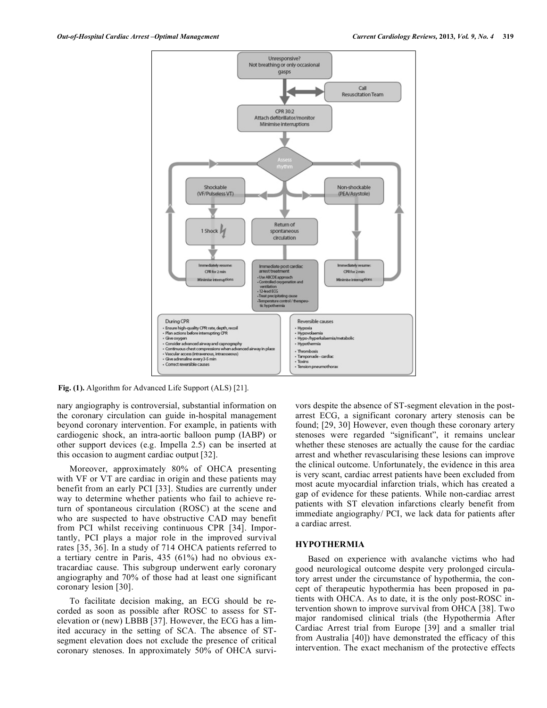

**Fig. (1).** Algorithm for Advanced Life Support (ALS) [21].

nary angiography is controversial, substantial information on the coronary circulation can guide in-hospital management beyond coronary intervention. For example, in patients with cardiogenic shock, an intra-aortic balloon pump (IABP) or other support devices (e.g. Impella 2.5) can be inserted at this occasion to augment cardiac output [32].

Moreover, approximately 80% of OHCA presenting with VF or VT are cardiac in origin and these patients may benefit from an early PCI [33]. Studies are currently under way to determine whether patients who fail to achieve return of spontaneous circulation (ROSC) at the scene and who are suspected to have obstructive CAD may benefit from PCI whilst receiving continuous CPR [34]. Importantly, PCI plays a major role in the improved survival rates [35, 36]. In a study of 714 OHCA patients referred to a tertiary centre in Paris, 435 (61%) had no obvious extracardiac cause. This subgroup underwent early coronary angiography and 70% of those had at least one significant coronary lesion [30].

To facilitate decision making, an ECG should be recorded as soon as possible after ROSC to assess for STelevation or (new) LBBB [37]. However, the ECG has a limited accuracy in the setting of SCA. The absence of STsegment elevation does not exclude the presence of critical coronary stenoses. In approximately 50% of OHCA survivors despite the absence of ST-segment elevation in the postarrest ECG, a significant coronary artery stenosis can be found; [29, 30] However, even though these coronary artery stenoses were regarded "significant", it remains unclear whether these stenoses are actually the cause for the cardiac arrest and whether revascularising these lesions can improve the clinical outcome. Unfortunately, the evidence in this area is very scant, cardiac arrest patients have been excluded from most acute myocardial infarction trials, which has created a gap of evidence for these patients. While non-cardiac arrest patients with ST elevation infarctions clearly benefit from immediate angiography/ PCI, we lack data for patients after a cardiac arrest.

#### **HYPOTHERMIA**

Based on experience with avalanche victims who had good neurological outcome despite very prolonged circulatory arrest under the circumstance of hypothermia, the concept of therapeutic hypothermia has been proposed in patients with OHCA. As to date, it is the only post-ROSC intervention shown to improve survival from OHCA [38]. Two major randomised clinical trials (the Hypothermia After Cardiac Arrest trial from Europe [39] and a smaller trial from Australia [40]) have demonstrated the efficacy of this intervention. The exact mechanism of the protective effects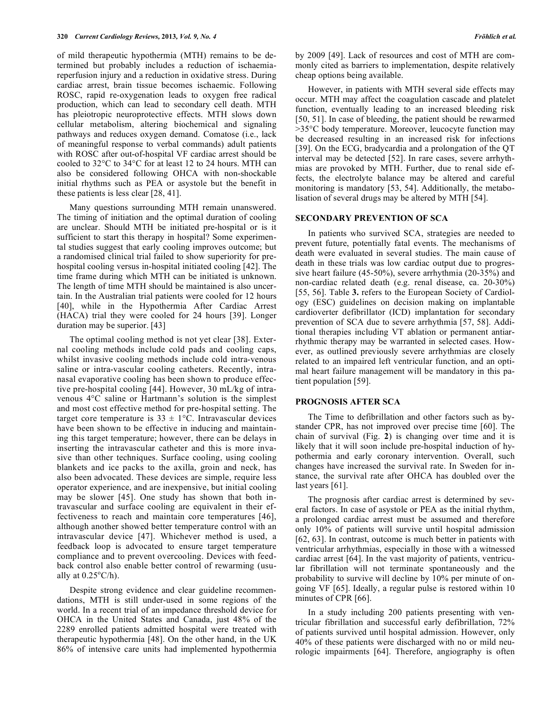of mild therapeutic hypothermia (MTH) remains to be determined but probably includes a reduction of ischaemiareperfusion injury and a reduction in oxidative stress. During cardiac arrest, brain tissue becomes ischaemic. Following ROSC, rapid re-oxygenation leads to oxygen free radical production, which can lead to secondary cell death. MTH has pleiotropic neuroprotective effects. MTH slows down cellular metabolism, altering biochemical and signaling pathways and reduces oxygen demand. Comatose (i.e., lack of meaningful response to verbal commands) adult patients with ROSC after out-of-hospital VF cardiac arrest should be cooled to 32°C to 34°C for at least 12 to 24 hours. MTH can also be considered following OHCA with non-shockable initial rhythms such as PEA or asystole but the benefit in these patients is less clear [28, 41].

Many questions surrounding MTH remain unanswered. The timing of initiation and the optimal duration of cooling are unclear. Should MTH be initiated pre-hospital or is it sufficient to start this therapy in hospital? Some experimental studies suggest that early cooling improves outcome; but a randomised clinical trial failed to show superiority for prehospital cooling versus in-hospital initiated cooling [42]. The time frame during which MTH can be initiated is unknown. The length of time MTH should be maintained is also uncertain. In the Australian trial patients were cooled for 12 hours [40], while in the Hypothermia After Cardiac Arrest (HACA) trial they were cooled for 24 hours [39]. Longer duration may be superior. [43]

The optimal cooling method is not yet clear [38]. External cooling methods include cold pads and cooling caps, whilst invasive cooling methods include cold intra-venous saline or intra-vascular cooling catheters. Recently, intranasal evaporative cooling has been shown to produce effective pre-hospital cooling [44]. However, 30 mL/kg of intravenous 4°C saline or Hartmann's solution is the simplest and most cost effective method for pre-hospital setting. The target core temperature is  $33 \pm 1$ °C. Intravascular devices have been shown to be effective in inducing and maintaining this target temperature; however, there can be delays in inserting the intravascular catheter and this is more invasive than other techniques. Surface cooling, using cooling blankets and ice packs to the axilla, groin and neck, has also been advocated. These devices are simple, require less operator experience, and are inexpensive, but initial cooling may be slower [45]. One study has shown that both intravascular and surface cooling are equivalent in their effectiveness to reach and maintain core temperatures [46], although another showed better temperature control with an intravascular device [47]. Whichever method is used, a feedback loop is advocated to ensure target temperature compliance and to prevent overcooling. Devices with feedback control also enable better control of rewarming (usually at  $0.25^{\circ}$ C/h).

Despite strong evidence and clear guideline recommendations, MTH is still under-used in some regions of the world. In a recent trial of an impedance threshold device for OHCA in the United States and Canada, just 48% of the 2289 enrolled patients admitted hospital were treated with therapeutic hypothermia [48]. On the other hand, in the UK 86% of intensive care units had implemented hypothermia by 2009 [49]. Lack of resources and cost of MTH are commonly cited as barriers to implementation, despite relatively cheap options being available.

However, in patients with MTH several side effects may occur. MTH may affect the coagulation cascade and platelet function, eventually leading to an increased bleeding risk [50, 51]. In case of bleeding, the patient should be rewarmed >35°C body temperature. Moreover, leucocyte function may be decreased resulting in an increased risk for infections [39]. On the ECG, bradycardia and a prolongation of the QT interval may be detected [52]. In rare cases, severe arrhythmias are provoked by MTH. Further, due to renal side effects, the electrolyte balance may be altered and careful monitoring is mandatory [53, 54]. Additionally, the metabolisation of several drugs may be altered by MTH [54].

## **SECONDARY PREVENTION OF SCA**

In patients who survived SCA, strategies are needed to prevent future, potentially fatal events. The mechanisms of death were evaluated in several studies. The main cause of death in these trials was low cardiac output due to progressive heart failure (45-50%), severe arrhythmia (20-35%) and non-cardiac related death (e.g. renal disease, ca. 20-30%) [55, 56]. Table **3.** refers to the European Society of Cardiology (ESC) guidelines on decision making on implantable cardioverter defibrillator (ICD) implantation for secondary prevention of SCA due to severe arrhythmia [57, 58]. Additional therapies including VT ablation or permanent antiarrhythmic therapy may be warranted in selected cases. However, as outlined previously severe arrhythmias are closely related to an impaired left ventricular function, and an optimal heart failure management will be mandatory in this patient population [59].

## **PROGNOSIS AFTER SCA**

The Time to defibrillation and other factors such as bystander CPR, has not improved over precise time [60]. The chain of survival (Fig. **2**) is changing over time and it is likely that it will soon include pre-hospital induction of hypothermia and early coronary intervention. Overall, such changes have increased the survival rate. In Sweden for instance, the survival rate after OHCA has doubled over the last years [61].

The prognosis after cardiac arrest is determined by several factors. In case of asystole or PEA as the initial rhythm, a prolonged cardiac arrest must be assumed and therefore only 10% of patients will survive until hospital admission [62, 63]. In contrast, outcome is much better in patients with ventricular arrhythmias, especially in those with a witnessed cardiac arrest [64]. In the vast majority of patients, ventricular fibrillation will not terminate spontaneously and the probability to survive will decline by 10% per minute of ongoing VF [65]. Ideally, a regular pulse is restored within 10 minutes of CPR [66].

In a study including 200 patients presenting with ventricular fibrillation and successful early defibrillation, 72% of patients survived until hospital admission. However, only 40% of these patients were discharged with no or mild neurologic impairments [64]. Therefore, angiography is often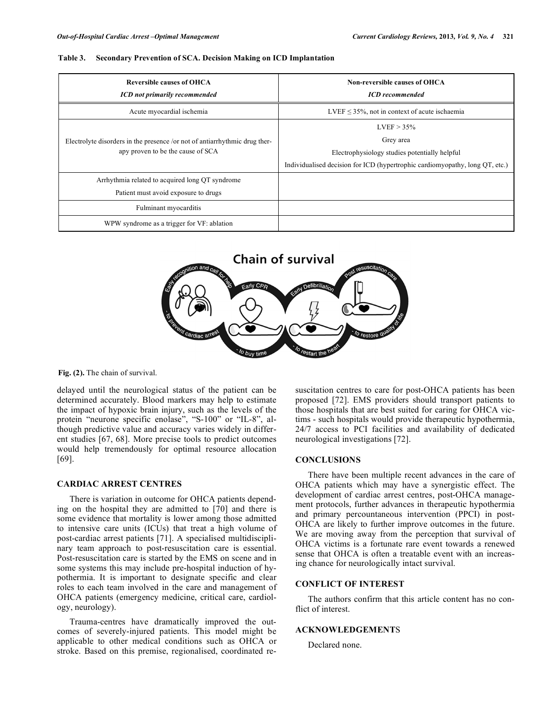#### **Table 3. Secondary Prevention of SCA. Decision Making on ICD Implantation**

| <b>Reversible causes of OHCA</b><br><b>ICD</b> not primarily recommended                                        | Non-reversible causes of OHCA<br><b>ICD</b> recommended                      |  |
|-----------------------------------------------------------------------------------------------------------------|------------------------------------------------------------------------------|--|
| Acute myocardial ischemia                                                                                       | LVEF $\leq$ 35%, not in context of acute ischaemia                           |  |
| Electrolyte disorders in the presence /or not of antiarrhythmic drug ther-<br>apy proven to be the cause of SCA | $LVEF > 35\%$                                                                |  |
|                                                                                                                 | Grey area                                                                    |  |
|                                                                                                                 | Electrophysiology studies potentially helpful                                |  |
|                                                                                                                 | Individualised decision for ICD (hypertrophic cardiomyopathy, long QT, etc.) |  |
| Arrhythmia related to acquired long QT syndrome                                                                 |                                                                              |  |
| Patient must avoid exposure to drugs                                                                            |                                                                              |  |
| Fulminant myocarditis                                                                                           |                                                                              |  |
| WPW syndrome as a trigger for VF: ablation                                                                      |                                                                              |  |



**Fig. (2).** The chain of survival.

delayed until the neurological status of the patient can be determined accurately. Blood markers may help to estimate the impact of hypoxic brain injury, such as the levels of the protein "neurone specific enolase", "S-100" or "IL-8", although predictive value and accuracy varies widely in different studies [67, 68]. More precise tools to predict outcomes would help tremendously for optimal resource allocation [69].

#### **CARDIAC ARREST CENTRES**

There is variation in outcome for OHCA patients depending on the hospital they are admitted to [70] and there is some evidence that mortality is lower among those admitted to intensive care units (ICUs) that treat a high volume of post-cardiac arrest patients [71]. A specialised multidisciplinary team approach to post-resuscitation care is essential. Post-resuscitation care is started by the EMS on scene and in some systems this may include pre-hospital induction of hypothermia. It is important to designate specific and clear roles to each team involved in the care and management of OHCA patients (emergency medicine, critical care, cardiology, neurology).

Trauma-centres have dramatically improved the outcomes of severely-injured patients. This model might be applicable to other medical conditions such as OHCA or stroke. Based on this premise, regionalised, coordinated resuscitation centres to care for post-OHCA patients has been proposed [72]. EMS providers should transport patients to those hospitals that are best suited for caring for OHCA victims - such hospitals would provide therapeutic hypothermia, 24/7 access to PCI facilities and availability of dedicated neurological investigations [72].

#### **CONCLUSIONS**

There have been multiple recent advances in the care of OHCA patients which may have a synergistic effect. The development of cardiac arrest centres, post-OHCA management protocols, further advances in therapeutic hypothermia and primary percountaneous intervention (PPCI) in post-OHCA are likely to further improve outcomes in the future. We are moving away from the perception that survival of OHCA victims is a fortunate rare event towards a renewed sense that OHCA is often a treatable event with an increasing chance for neurologically intact survival.

# **CONFLICT OF INTEREST**

The authors confirm that this article content has no conflict of interest.

### **ACKNOWLEDGEMENT**S

Declared none.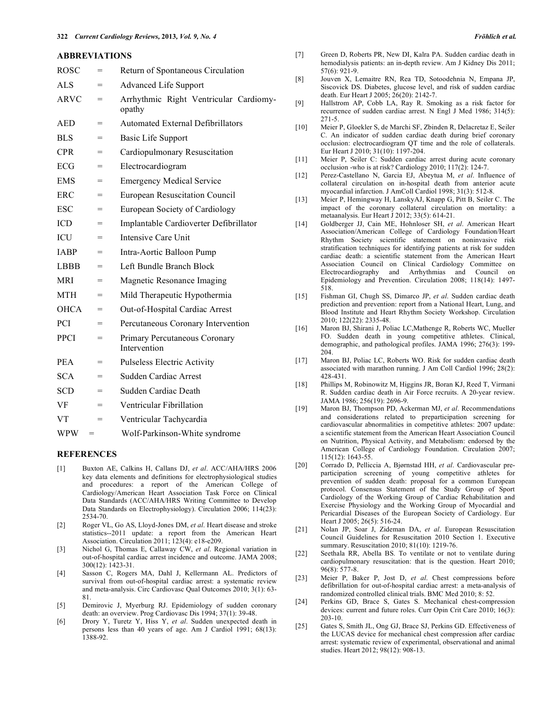#### **ABBREVIATIONS**

| <b>ROSC</b> | $=$ | Return of Spontaneous Circulation                |  |
|-------------|-----|--------------------------------------------------|--|
| ALS         | $=$ | <b>Advanced Life Support</b>                     |  |
| <b>ARVC</b> | $=$ | Arrhythmic Right Ventricular Cardiomy-<br>opathy |  |
| <b>AED</b>  | $=$ | <b>Automated External Defibrillators</b>         |  |
| <b>BLS</b>  | $=$ | Basic Life Support                               |  |
| <b>CPR</b>  | $=$ | Cardiopulmonary Resuscitation                    |  |
| ECG         | $=$ | Electrocardiogram                                |  |
| <b>EMS</b>  | $=$ | <b>Emergency Medical Service</b>                 |  |
| <b>ERC</b>  | $=$ | <b>European Resuscitation Council</b>            |  |
| <b>ESC</b>  | $=$ | European Society of Cardiology                   |  |
| <b>ICD</b>  | $=$ | Implantable Cardioverter Defibrillator           |  |
| <b>ICU</b>  | $=$ | Intensive Care Unit                              |  |
| <b>IABP</b> | $=$ | Intra-Aortic Balloon Pump                        |  |
| <b>LBBB</b> | $=$ | Left Bundle Branch Block                         |  |
| <b>MRI</b>  | $=$ | Magnetic Resonance Imaging                       |  |
| <b>MTH</b>  | $=$ | Mild Therapeutic Hypothermia                     |  |
| <b>OHCA</b> | $=$ | Out-of-Hospital Cardiac Arrest                   |  |
| PCI         | $=$ | Percutaneous Coronary Intervention               |  |
| <b>PPCI</b> | $=$ | Primary Percutaneous Coronary<br>Intervention    |  |
| <b>PEA</b>  | $=$ | <b>Pulseless Electric Activity</b>               |  |
| <b>SCA</b>  | $=$ | Sudden Cardiac Arrest                            |  |
| <b>SCD</b>  | $=$ | Sudden Cardiac Death                             |  |
| VF          | =   | Ventricular Fibrillation                         |  |
| <b>VT</b>   | $=$ | Ventricular Tachycardia                          |  |
| <b>WPW</b>  | $=$ | Wolf-Parkinson-White syndrome                    |  |

#### **REFERENCES**

- [1] Buxton AE, Calkins H, Callans DJ, *et al*. ACC/AHA/HRS 2006 key data elements and definitions for electrophysiological studies and procedures: a report of the American College of Cardiology/American Heart Association Task Force on Clinical Data Standards (ACC/AHA/HRS Writing Committee to Develop Data Standards on Electrophysiology). Circulation 2006; 114(23): 2534-70.
- [2] Roger VL, Go AS, Lloyd-Jones DM, *et al*. Heart disease and stroke statistics--2011 update: a report from the American Heart Association. Circulation 2011; 123(4): e18-e209.
- [3] Nichol G, Thomas E, Callaway CW, *et al*. Regional variation in out-of-hospital cardiac arrest incidence and outcome. JAMA 2008; 300(12): 1423-31.
- [4] Sasson C, Rogers MA, Dahl J, Kellermann AL. Predictors of survival from out-of-hospital cardiac arrest: a systematic review and meta-analysis. Circ Cardiovasc Qual Outcomes 2010; 3(1): 63- 81.
- [5] Demirovic J, Myerburg RJ. Epidemiology of sudden coronary death: an overview. Prog Cardiovasc Dis 1994; 37(1): 39-48.
- [6] Drory Y, Turetz Y, Hiss Y, *et al*. Sudden unexpected death in persons less than 40 years of age. Am J Cardiol 1991; 68(13): 1388-92.
- [7] Green D, Roberts PR, New DI, Kalra PA. Sudden cardiac death in hemodialysis patients: an in-depth review. Am J Kidney Dis 2011; 57(6): 921-9.
- [8] Jouven X, Lemaitre RN, Rea TD, Sotoodehnia N, Empana JP, Siscovick DS. Diabetes, glucose level, and risk of sudden cardiac death. Eur Heart J 2005; 26(20): 2142-7.
- [9] Hallstrom AP, Cobb LA, Ray R. Smoking as a risk factor for recurrence of sudden cardiac arrest. N Engl J Med 1986; 314(5): 271-5.
- [10] Meier P, Gloekler S, de Marchi SF, Zbinden R, Delacretaz E, Seiler C. An indicator of sudden cardiac death during brief coronary occlusion: electrocardiogram QT time and the role of collaterals. Eur Heart J 2010; 31(10): 1197-204.
- [11] Meier P, Seiler C: Sudden cardiac arrest during acute coronary occlusion -who is at risk? Cardiology 2010; 117(2): 124-7.
- [12] Perez-Castellano N, Garcia EJ, Abeytua M, *et al*. Influence of collateral circulation on in-hospital death from anterior acute myocardial infarction. J AmColl Cardiol 1998; 31(3): 512-8.
- [13] Meier P, Hemingway H, LanskyAJ, Knapp G, Pitt B, Seiler C. The impact of the coronary collateral circulation on mortality: a metaanalysis. Eur Heart J 2012; 33(5): 614-21.
- [14] Goldberger JJ, Cain ME, Hohnloser SH, *et al*. American Heart Association/American College of Cardiology Foundation/Heart Rhythm Society scientific statement on noninvasive risk stratification techniques for identifying patients at risk for sudden cardiac death: a scientific statement from the American Heart Association Council on Clinical Cardiology Committee on Electrocardiography and Arrhythmias and Council on Epidemiology and Prevention. Circulation 2008; 118(14): 1497- 518.
- [15] Fishman GI, Chugh SS, Dimarco JP, *et al*. Sudden cardiac death prediction and prevention: report from a National Heart, Lung, and Blood Institute and Heart Rhythm Society Workshop. Circulation 2010; 122(22): 2335-48.
- [16] Maron BJ, Shirani J, Poliac LC,Mathenge R, Roberts WC, Mueller FO. Sudden death in young competitive athletes. Clinical, demographic, and pathological profiles. JAMA 1996; 276(3): 199- 204.
- [17] Maron BJ, Poliac LC, Roberts WO. Risk for sudden cardiac death associated with marathon running. J Am Coll Cardiol 1996; 28(2): 428-431.
- [18] Phillips M, Robinowitz M, Higgins JR, Boran KJ, Reed T, Virmani R. Sudden cardiac death in Air Force recruits. A 20-year review. JAMA 1986; 256(19): 2696-9.
- [19] Maron BJ, Thompson PD, Ackerman MJ, *et al*. Recommendations and considerations related to preparticipation screening for cardiovascular abnormalities in competitive athletes: 2007 update: a scientific statement from the American Heart Association Council on Nutrition, Physical Activity, and Metabolism: endorsed by the American College of Cardiology Foundation. Circulation 2007; 115(12): 1643-55.
- [20] Corrado D, Pelliccia A, Bjørnstad HH, *et al*. Cardiovascular preparticipation screening of young competitive athletes for prevention of sudden death: proposal for a common European protocol. Consensus Statement of the Study Group of Sport Cardiology of the Working Group of Cardiac Rehabilitation and Exercise Physiology and the Working Group of Myocardial and Pericardial Diseases of the European Society of Cardiology. Eur Heart J 2005; 26(5): 516-24.
- [21] Nolan JP, Soar J, Zideman DA, *et al*. European Resuscitation Council Guidelines for Resuscitation 2010 Section 1. Executive summary. Resuscitation 2010; 81(10): 1219-76.
- [22] Seethala RR, Abella BS. To ventilate or not to ventilate during cardiopulmonary resuscitation: that is the question. Heart 2010;  $96(8)$  $577-8$
- [23] Meier P, Baker P, Jost D, *et al*. Chest compressions before defibrillation for out-of-hospital cardiac arrest: a meta-analysis of randomized controlled clinical trials. BMC Med 2010; 8: 52.
- [24] Perkins GD, Brace S, Gates S. Mechanical chest-compression devices: current and future roles. Curr Opin Crit Care 2010; 16(3): 203-10.
- [25] Gates S, Smith JL, Ong GJ, Brace SJ, Perkins GD. Effectiveness of the LUCAS device for mechanical chest compression after cardiac arrest: systematic review of experimental, observational and animal studies. Heart 2012; 98(12): 908-13.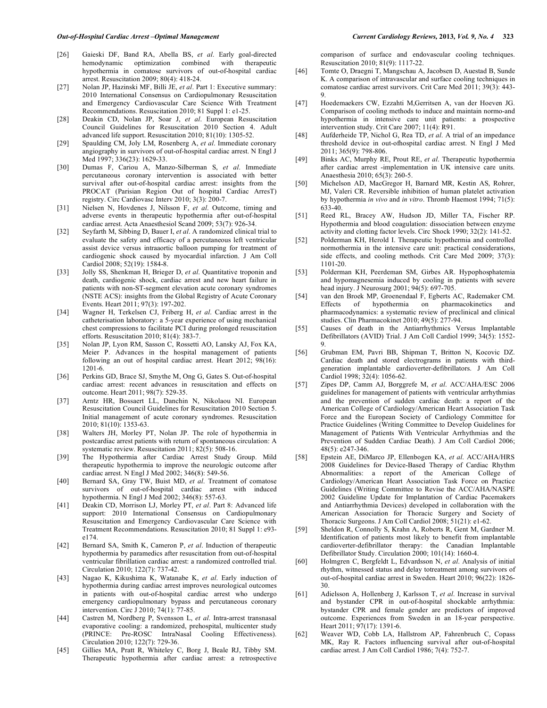- [26] Gaieski DF, Band RA, Abella BS, *et al*. Early goal-directed hemodynamic optimization combined with therapeutic hypothermia in comatose survivors of out-of-hospital cardiac arrest. Resuscitation 2009; 80(4): 418-24.
- [27] Nolan JP, Hazinski MF, Billi JE, *et al*. Part 1: Executive summary: 2010 International Consensus on Cardiopulmonary Resuscitation and Emergency Cardiovascular Care Science With Treatment Recommendations. Resuscitation 2010; 81 Suppl 1: e1-25.
- [28] Deakin CD, Nolan JP, Soar J, *et al*. European Resuscitation Council Guidelines for Resuscitation 2010 Section 4. Adult advanced life support. Resuscitation 2010; 81(10): 1305-52.
- [29] Spaulding CM, Joly LM, Rosenberg A, *et al*. Immediate coronary angiography in survivors of out-of-hospital cardiac arrest. N Engl J Med 1997; 336(23): 1629-33.
- [30] Dumas F, Cariou A, Manzo-Silberman S, *et al*. Immediate percutaneous coronary intervention is associated with better survival after out-of-hospital cardiac arrest: insights from the PROCAT (Parisian Region Out of hospital Cardiac ArresT) registry. Circ Cardiovasc Interv 2010; 3(3): 200-7.
- [31] Nielsen N, Hovdenes J, Nilsson F, *et al*. Outcome, timing and adverse events in therapeutic hypothermia after out-of-hospital cardiac arrest. Acta Anaesthesiol Scand 2009; 53(7): 926-34.
- [32] Seyfarth M, Sibbing D, Bauer I, *et al*. A randomized clinical trial to evaluate the safety and efficacy of a percutaneous left ventricular assist device versus intraaortic balloon pumping for treatment of cardiogenic shock caused by myocardial infarction. J Am Coll Cardiol 2008; 52(19): 1584-8.
- [33] Jolly SS, Shenkman H, Brieger D, *et al*. Quantitative troponin and death, cardiogenic shock, cardiac arrest and new heart failure in patients with non-ST-segment elevation acute coronary syndromes (NSTE ACS): insights from the Global Registry of Acute Coronary Events. Heart 2011; 97(3): 197-202.
- [34] Wagner H, Terkelsen CJ, Friberg H, *et al*. Cardiac arrest in the catheterisation laboratory: a 5-year experience of using mechanical chest compressions to facilitate PCI during prolonged resuscitation efforts. Resuscitation 2010; 81(4): 383-7.
- [35] Nolan JP, Lyon RM, Sasson C, Rossetti AO, Lansky AJ, Fox KA, Meier P. Advances in the hospital management of patients following an out of hospital cardiac arrest. Heart 2012; 98(16): 1201-6.
- [36] Perkins GD, Brace SJ, Smythe M, Ong G, Gates S. Out-of-hospital cardiac arrest: recent advances in resuscitation and effects on outcome. Heart 2011; 98(7): 529-35.
- [37] Arntz HR, Bossaert LL, Danchin N, Nikolaou NI. European Resuscitation Council Guidelines for Resuscitation 2010 Section 5. Initial management of acute coronary syndromes. Resuscitation 2010; 81(10): 1353-63.
- [38] Walters JH, Morley PT, Nolan JP. The role of hypothermia in postcardiac arrest patients with return of spontaneous circulation: A systematic review. Resuscitation 2011; 82(5): 508-16.
- [39] The Hypothermia after Cardiac Arrest Study Group. Mild therapeutic hypothermia to improve the neurologic outcome after cardiac arrest. N Engl J Med 2002; 346(8): 549-56.
- [40] Bernard SA, Gray TW, Buist MD, *et al*. Treatment of comatose survivors of out-of-hospital cardiac arrest with induced hypothermia. N Engl J Med 2002; 346(8): 557-63.
- [41] Deakin CD, Morrison LJ, Morley PT, *et al*. Part 8: Advanced life support: 2010 International Consensus on Cardiopulmonary Resuscitation and Emergency Cardiovascular Care Science with Treatment Recommendations. Resuscitation 2010; 81 Suppl 1: e93 e174.
- [42] Bernard SA, Smith K, Cameron P, *et al*. Induction of therapeutic hypothermia by paramedics after resuscitation from out-of-hospital ventricular fibrillation cardiac arrest: a randomized controlled trial. Circulation 2010; 122(7): 737-42.
- [43] Nagao K, Kikushima K, Watanabe K, *et al*. Early induction of hypothermia during cardiac arrest improves neurological outcomes in patients with out-of-hospital cardiac arrest who undergo emergency cardiopulmonary bypass and percutaneous coronary intervention. Circ J 2010; 74(1): 77-85.
- [44] Castren M, Nordberg P, Svensson L, *et al*. Intra-arrest transnasal evaporative cooling: a randomized, prehospital, multicenter study (PRINCE: Pre-ROSC IntraNasal Cooling Effectiveness). Circulation 2010; 122(7): 729-36.
- [45] Gillies MA, Pratt R, Whiteley C, Borg J, Beale RJ, Tibby SM. Therapeutic hypothermia after cardiac arrest: a retrospective

comparison of surface and endovascular cooling techniques. Resuscitation 2010; 81(9): 1117-22.

- [46] Tomte O, Draegni T, Mangschau A, Jacobsen D, Auestad B, Sunde K. A comparison of intravascular and surface cooling techniques in comatose cardiac arrest survivors. Crit Care Med 2011; 39(3): 443- 9.
- [47] Hoedemaekers CW, Ezzahti M,Gerritsen A, van der Hoeven JG. Comparison of cooling methods to induce and maintain normo-and hypothermia in intensive care unit patients: a prospective intervention study. Crit Care 2007; 11(4): R91.
- [48] Aufderheide TP, Nichol G, Rea TD, *et al*. A trial of an impedance threshold device in out-ofhospital cardiac arrest. N Engl J Med 2011; 365(9): 798-806.
- [49] Binks AC, Murphy RE, Prout RE, *et al*. Therapeutic hypothermia after cardiac arrest -implementation in UK intensive care units. Anaesthesia 2010; 65(3): 260-5.
- [50] Michelson AD, MacGregor H, Barnard MR, Kestin AS, Rohrer, MJ, Valeri CR. Reversible inhibition of human platelet activation by hypothermia *in vivo* and *in vitro*. Thromb Haemost 1994; 71(5): 633-40.
- [51] Reed RL, Bracey AW, Hudson JD, Miller TA, Fischer RP. Hypothermia and blood coagulation: dissociation between enzyme activity and clotting factor levels. Circ Shock 1990; 32(2): 141-52.
- [52] Polderman KH, Herold I. Therapeutic hypothermia and controlled normothermia in the intensive care unit: practical considerations, side effects, and cooling methods. Crit Care Med 2009; 37(3): 1101-20.
- [53] Polderman KH, Peerdeman SM, Girbes AR. Hypophosphatemia and hypomagnesemia induced by cooling in patients with severe head injury. J Neurosurg 2001; 94(5): 697-705.
- [54] van den Broek MP, Groenendaal F, Egberts AC, Rademaker CM. hypothermia on pharmacokinetics and pharmacodynamics: a systematic review of preclinical and clinical studies. Clin Pharmacokinet 2010; 49(5): 277-94.
- [55] Causes of death in the Antiarrhythmics Versus Implantable Defibrillators (AVID) Trial. J Am Coll Cardiol 1999; 34(5): 1552- 9.
- [56] Grubman EM, Pavri BB, Shipman T, Britton N, Kocovic DZ. Cardiac death and stored electrograms in patients with thirdgeneration implantable cardioverter-defibrillators. J Am Coll Cardiol 1998; 32(4): 1056-62.
- [57] Zipes DP, Camm AJ, Borggrefe M, *et al*. ACC/AHA/ESC 2006 guidelines for management of patients with ventricular arrhythmias and the prevention of sudden cardiac death: a report of the American College of Cardiology/American Heart Association Task Force and the European Society of Cardiology Committee for Practice Guidelines (Writing Committee to Develop Guidelines for Management of Patients With Ventricular Arrhythmias and the Prevention of Sudden Cardiac Death). J Am Coll Cardiol 2006; 48(5): e247-346.
- [58] Epstein AE, DiMarco JP, Ellenbogen KA, *et al*. ACC/AHA/HRS 2008 Guidelines for Device-Based Therapy of Cardiac Rhythm Abnormalities: a report of the American College of Cardiology/American Heart Association Task Force on Practice Guidelines (Writing Committee to Revise the ACC/AHA/NASPE 2002 Guideline Update for Implantation of Cardiac Pacemakers and Antiarrhythmia Devices) developed in collaboration with the American Association for Thoracic Surgery and Society of Thoracic Surgeons. J Am Coll Cardiol 2008; 51(21): e1-62.
- [59] Sheldon R, Connolly S, Krahn A, Roberts R, Gent M, Gardner M. Identification of patients most likely to benefit from implantable cardioverter-defibrillator therapy: the Canadian Implantable Defibrillator Study. Circulation 2000; 101(14): 1660-4.
- [60] Holmgren C, Bergfeldt L, Edvardsson N, *et al*. Analysis of initial rhythm, witnessed status and delay totreatment among survivors of out-of-hospital cardiac arrest in Sweden. Heart 2010; 96(22): 1826- 30.
- [61] Adielsson A, Hollenberg J, Karlsson T, *et al*. Increase in survival and bystander CPR in out-of-hospital shockable arrhythmia: bystander CPR and female gender are predictors of improved outcome. Experiences from Sweden in an 18-year perspective. Heart 2011; 97(17): 1391-6.
- [62] Weaver WD, Cobb LA, Hallstrom AP, Fahrenbruch C, Copass MK, Ray R. Factors influencing survival after out-of-hospital cardiac arrest. J Am Coll Cardiol 1986; 7(4): 752-7.